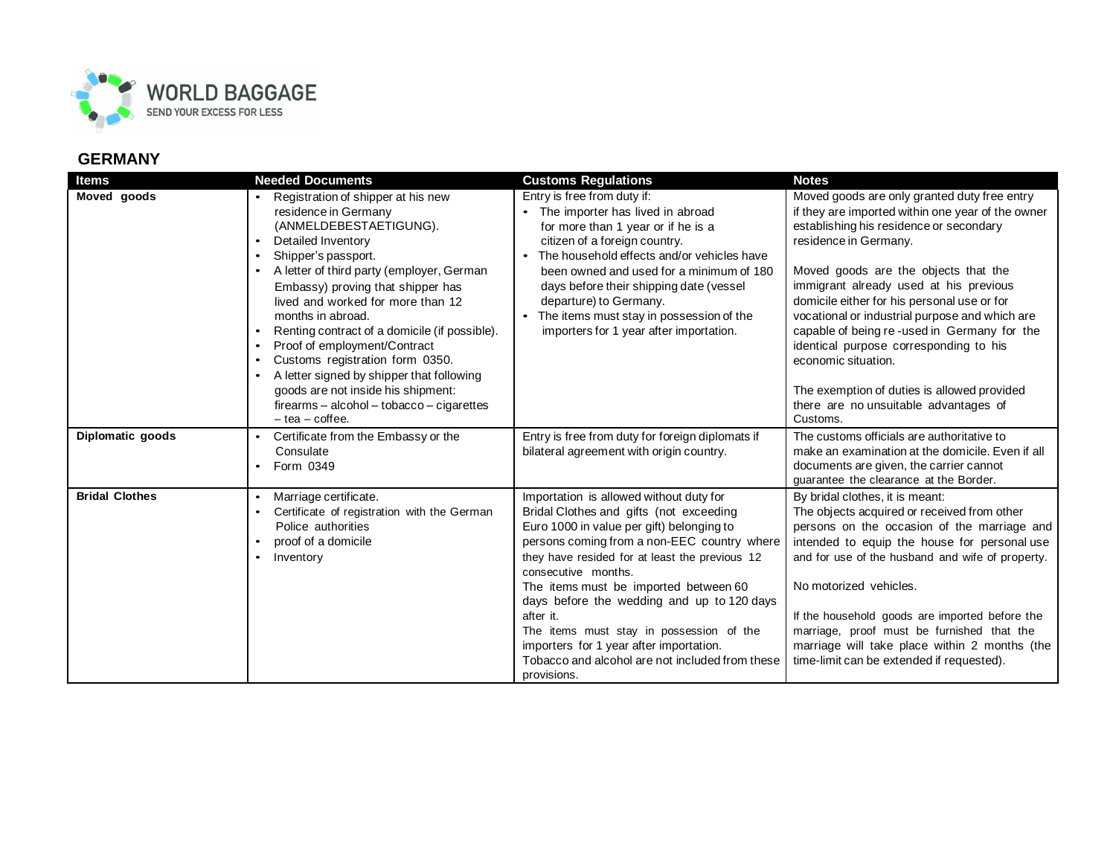

| Items                 | <b>Needed Documents</b>                                                                                                                                                                                                                                                                                                                                                                                                                                                                                                                                                                                      | <b>Customs Regulations</b>                                                                                                                                                                                                                                                                                                                                                                                                                                                                                           | <b>Notes</b>                                                                                                                                                                                                                                                                                                                                                                                                                                                                                                                                                                 |
|-----------------------|--------------------------------------------------------------------------------------------------------------------------------------------------------------------------------------------------------------------------------------------------------------------------------------------------------------------------------------------------------------------------------------------------------------------------------------------------------------------------------------------------------------------------------------------------------------------------------------------------------------|----------------------------------------------------------------------------------------------------------------------------------------------------------------------------------------------------------------------------------------------------------------------------------------------------------------------------------------------------------------------------------------------------------------------------------------------------------------------------------------------------------------------|------------------------------------------------------------------------------------------------------------------------------------------------------------------------------------------------------------------------------------------------------------------------------------------------------------------------------------------------------------------------------------------------------------------------------------------------------------------------------------------------------------------------------------------------------------------------------|
| Moved goods           | Registration of shipper at his new<br>residence in Germany<br>(ANMELDEBESTAETIGUNG).<br>Detailed Inventory<br>$\bullet$<br>Shipper's passport.<br>$\bullet$<br>A letter of third party (employer, German<br>Embassy) proving that shipper has<br>lived and worked for more than 12<br>months in abroad.<br>Renting contract of a domicile (if possible).<br>$\bullet$<br>Proof of employment/Contract<br>Customs registration form 0350.<br>$\bullet$<br>A letter signed by shipper that following<br>goods are not inside his shipment:<br>firearms - alcohol - tobacco - cigarettes<br>$-$ tea $-$ coffee. | Entry is free from duty if:<br>The importer has lived in abroad<br>for more than 1 year or if he is a<br>citizen of a foreign country.<br>The household effects and/or vehicles have<br>$\bullet$<br>been owned and used for a minimum of 180<br>days before their shipping date (vessel<br>departure) to Germany.<br>The items must stay in possession of the<br>importers for 1 year after importation.                                                                                                            | Moved goods are only granted duty free entry<br>if they are imported within one year of the owner<br>establishing his residence or secondary<br>residence in Germany.<br>Moved goods are the objects that the<br>immigrant already used at his previous<br>domicile either for his personal use or for<br>vocational or industrial purpose and which are<br>capable of being re-used in Germany for the<br>identical purpose corresponding to his<br>economic situation.<br>The exemption of duties is allowed provided<br>there are no unsuitable advantages of<br>Customs. |
| Diplomatic goods      | Certificate from the Embassy or the<br>$\bullet$<br>Consulate<br>Form 0349                                                                                                                                                                                                                                                                                                                                                                                                                                                                                                                                   | Entry is free from duty for foreign diplomats if<br>bilateral agreement with origin country.                                                                                                                                                                                                                                                                                                                                                                                                                         | The customs officials are authoritative to<br>make an examination at the domicile. Even if all<br>documents are given, the carrier cannot<br>quarantee the clearance at the Border.                                                                                                                                                                                                                                                                                                                                                                                          |
| <b>Bridal Clothes</b> | Marriage certificate.<br>Certificate of registration with the German<br>Police authorities<br>proof of a domicile<br>Inventory<br>$\bullet$                                                                                                                                                                                                                                                                                                                                                                                                                                                                  | Importation is allowed without duty for<br>Bridal Clothes and gifts (not exceeding<br>Euro 1000 in value per gift) belonging to<br>persons coming from a non-EEC country where<br>they have resided for at least the previous 12<br>consecutive months.<br>The items must be imported between 60<br>days before the wedding and up to 120 days<br>after it.<br>The items must stay in possession of the<br>importers for 1 year after importation.<br>Tobacco and alcohol are not included from these<br>provisions. | By bridal clothes, it is meant:<br>The objects acquired or received from other<br>persons on the occasion of the marriage and<br>intended to equip the house for personal use<br>and for use of the husband and wife of property.<br>No motorized vehicles.<br>If the household goods are imported before the<br>marriage, proof must be furnished that the<br>marriage will take place within 2 months (the<br>time-limit can be extended if requested).                                                                                                                    |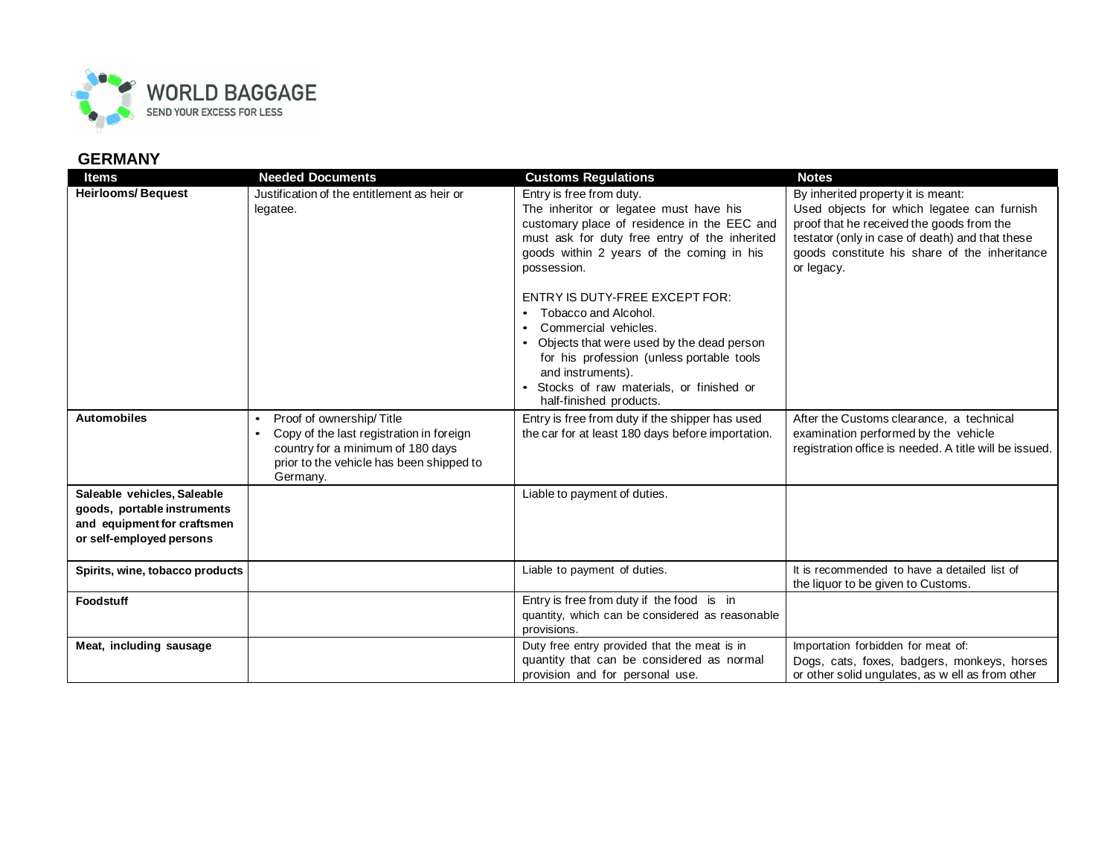

| ltems                                                                                                                 | <b>Needed Documents</b>                                                                                                                                                                     | <b>Customs Regulations</b>                                                                                                                                                                                                                                                                                                                                                                                                                                                                                                | <b>Notes</b>                                                                                                                                                                                                                                    |
|-----------------------------------------------------------------------------------------------------------------------|---------------------------------------------------------------------------------------------------------------------------------------------------------------------------------------------|---------------------------------------------------------------------------------------------------------------------------------------------------------------------------------------------------------------------------------------------------------------------------------------------------------------------------------------------------------------------------------------------------------------------------------------------------------------------------------------------------------------------------|-------------------------------------------------------------------------------------------------------------------------------------------------------------------------------------------------------------------------------------------------|
| <b>Heirlooms/Bequest</b>                                                                                              | Justification of the entitlement as heir or<br>legatee.                                                                                                                                     | Entry is free from duty.<br>The inheritor or legatee must have his<br>customary place of residence in the EEC and<br>must ask for duty free entry of the inherited<br>goods within 2 years of the coming in his<br>possession.<br><b>ENTRY IS DUTY-FREE EXCEPT FOR:</b><br>Tobacco and Alcohol.<br>$\bullet$<br>Commercial vehicles.<br>Objects that were used by the dead person<br>for his profession (unless portable tools<br>and instruments).<br>Stocks of raw materials, or finished or<br>half-finished products. | By inherited property it is meant:<br>Used objects for which legatee can furnish<br>proof that he received the goods from the<br>testator (only in case of death) and that these<br>goods constitute his share of the inheritance<br>or legacy. |
| <b>Automobiles</b>                                                                                                    | Proof of ownership/Title<br>$\bullet$<br>Copy of the last registration in foreign<br>$\bullet$<br>country for a minimum of 180 days<br>prior to the vehicle has been shipped to<br>Germany. | Entry is free from duty if the shipper has used<br>the car for at least 180 days before importation.                                                                                                                                                                                                                                                                                                                                                                                                                      | After the Customs clearance, a technical<br>examination performed by the vehicle<br>registration office is needed. A title will be issued.                                                                                                      |
| Saleable vehicles, Saleable<br>goods, portable instruments<br>and equipment for craftsmen<br>or self-employed persons |                                                                                                                                                                                             | Liable to payment of duties.                                                                                                                                                                                                                                                                                                                                                                                                                                                                                              |                                                                                                                                                                                                                                                 |
| Spirits, wine, tobacco products                                                                                       |                                                                                                                                                                                             | Liable to payment of duties.                                                                                                                                                                                                                                                                                                                                                                                                                                                                                              | It is recommended to have a detailed list of<br>the liquor to be given to Customs.                                                                                                                                                              |
| <b>Foodstuff</b>                                                                                                      |                                                                                                                                                                                             | Entry is free from duty if the food is in<br>quantity, which can be considered as reasonable<br>provisions.                                                                                                                                                                                                                                                                                                                                                                                                               |                                                                                                                                                                                                                                                 |
| Meat, including sausage                                                                                               |                                                                                                                                                                                             | Duty free entry provided that the meat is in<br>quantity that can be considered as normal<br>provision and for personal use.                                                                                                                                                                                                                                                                                                                                                                                              | Importation forbidden for meat of:<br>Dogs, cats, foxes, badgers, monkeys, horses<br>or other solid ungulates, as w ell as from other                                                                                                           |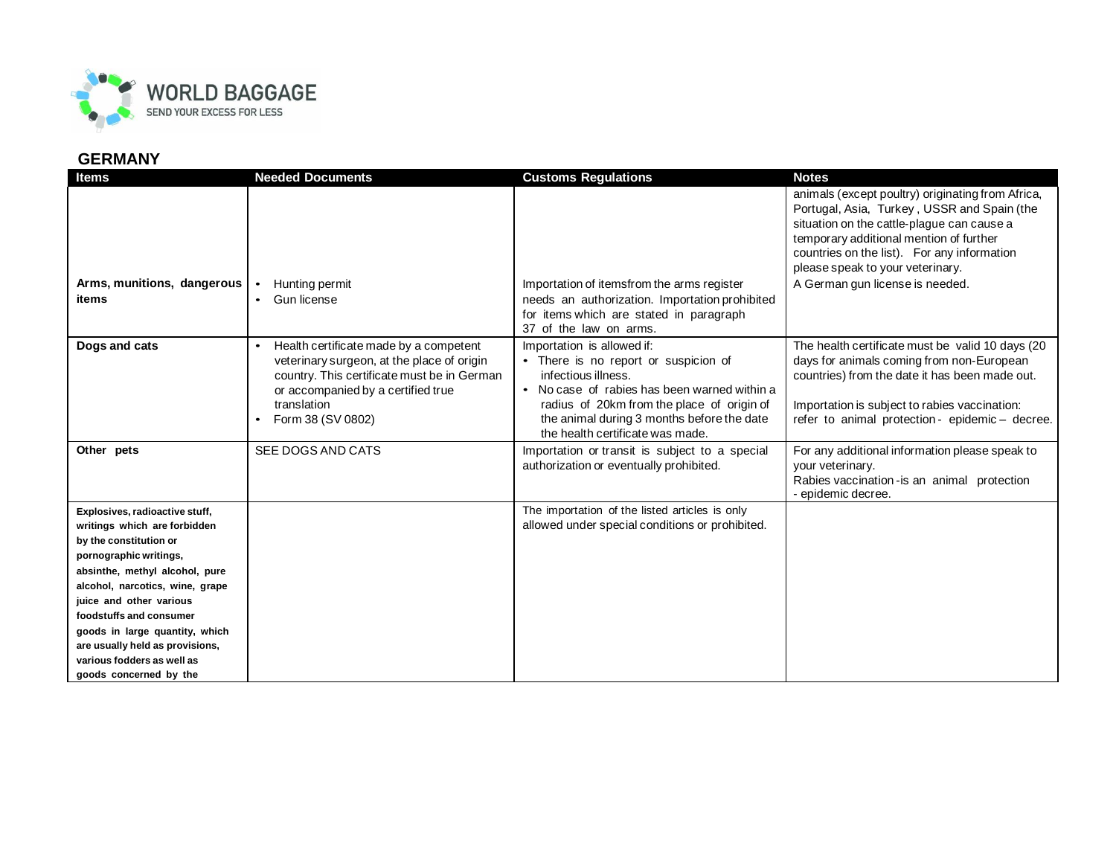

| <b>Items</b>                                                                                                                                                                                                                                                                                                                                                               | <b>Needed Documents</b>                                                                                                                                                                                                    | <b>Customs Regulations</b>                                                                                                                                                                                                                                                | <b>Notes</b>                                                                                                                                                                                                                                                                                                    |
|----------------------------------------------------------------------------------------------------------------------------------------------------------------------------------------------------------------------------------------------------------------------------------------------------------------------------------------------------------------------------|----------------------------------------------------------------------------------------------------------------------------------------------------------------------------------------------------------------------------|---------------------------------------------------------------------------------------------------------------------------------------------------------------------------------------------------------------------------------------------------------------------------|-----------------------------------------------------------------------------------------------------------------------------------------------------------------------------------------------------------------------------------------------------------------------------------------------------------------|
| Arms, munitions, dangerous<br><b>items</b>                                                                                                                                                                                                                                                                                                                                 | Hunting permit<br>$\bullet$<br>Gun license                                                                                                                                                                                 | Importation of itemsfrom the arms register                                                                                                                                                                                                                                | animals (except poultry) originating from Africa,<br>Portugal, Asia, Turkey, USSR and Spain (the<br>situation on the cattle-plague can cause a<br>temporary additional mention of further<br>countries on the list). For any information<br>please speak to your veterinary.<br>A German gun license is needed. |
|                                                                                                                                                                                                                                                                                                                                                                            | $\bullet$                                                                                                                                                                                                                  | needs an authorization. Importation prohibited<br>for items which are stated in paragraph<br>37 of the law on arms.                                                                                                                                                       |                                                                                                                                                                                                                                                                                                                 |
| Dogs and cats                                                                                                                                                                                                                                                                                                                                                              | Health certificate made by a competent<br>$\bullet$<br>veterinary surgeon, at the place of origin<br>country. This certificate must be in German<br>or accompanied by a certified true<br>translation<br>Form 38 (SV 0802) | Importation is allowed if:<br>• There is no report or suspicion of<br>infectious illness.<br>• No case of rabies has been warned within a<br>radius of 20km from the place of origin of<br>the animal during 3 months before the date<br>the health certificate was made. | The health certificate must be valid 10 days (20<br>days for animals coming from non-European<br>countries) from the date it has been made out.<br>Importation is subject to rabies vaccination:<br>refer to animal protection - epidemic - decree.                                                             |
| Other pets                                                                                                                                                                                                                                                                                                                                                                 | SEE DOGS AND CATS                                                                                                                                                                                                          | Importation or transit is subject to a special<br>authorization or eventually prohibited.                                                                                                                                                                                 | For any additional information please speak to<br>your veterinary.<br>Rabies vaccination-is an animal protection<br>- epidemic decree.                                                                                                                                                                          |
| Explosives, radioactive stuff,<br>writings which are forbidden<br>by the constitution or<br>pornographic writings,<br>absinthe, methyl alcohol, pure<br>alcohol, narcotics, wine, grape<br>juice and other various<br>foodstuffs and consumer<br>goods in large quantity, which<br>are usually held as provisions,<br>various fodders as well as<br>goods concerned by the |                                                                                                                                                                                                                            | The importation of the listed articles is only<br>allowed under special conditions or prohibited.                                                                                                                                                                         |                                                                                                                                                                                                                                                                                                                 |